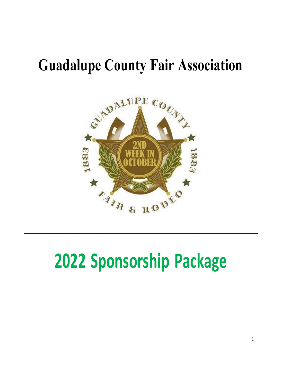## **Guadalupe County Fair Association**



# **Sponsorship Package**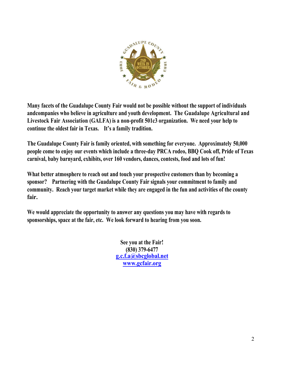

**Many facets of the Guadalupe County Fair would not be possible without the support of individuals andcompanies who believe in agriculture and youth development. The Guadalupe Agricultural and Livestock Fair Association (GALFA) is a non-profit 501c3 organization. We need your help to continue the oldest fair in Texas. It's a family tradition.**

**The Guadalupe County Fair is family oriented, with something for everyone. Approximately 50,000 people come to enjoy our events which include a three-day PRCA rodeo, BBQ Cook off, Pride of Texas carnival, baby barnyard, exhibits, over 160 vendors, dances, contests, food and lots of fun!**

**What better atmosphere to reach out and touch your prospective customers than by becoming a sponsor? Partnering with the Guadalupe County Fair signals your commitment to family and community. Reach your target market while they are engaged in the fun and activities of the county fair.**

**We would appreciate the opportunity to answer any questions you may have with regards to sponsorships, space at the fair, etc. We look forward to hearing from you soon.**

> **See you at the Fair! (830) 379-6477 [g.c.f.a@sbcglobal.net](mailto:g.c.f.a@sbcglobal.net) [www.gcfair.org](http://www.gcfair.org/)**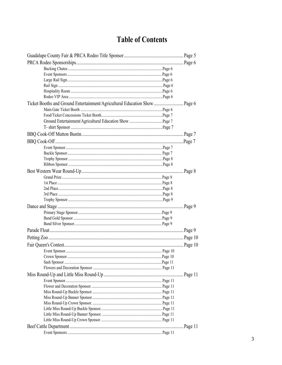### **Table of Contents**

| Ticket Booths and Ground Entertainment/Agricultural Education Show Page 6 |  |
|---------------------------------------------------------------------------|--|
|                                                                           |  |
|                                                                           |  |
|                                                                           |  |
|                                                                           |  |
|                                                                           |  |
|                                                                           |  |
|                                                                           |  |
|                                                                           |  |
|                                                                           |  |
|                                                                           |  |
|                                                                           |  |
|                                                                           |  |
|                                                                           |  |
|                                                                           |  |
|                                                                           |  |
|                                                                           |  |
|                                                                           |  |
|                                                                           |  |
|                                                                           |  |
|                                                                           |  |
|                                                                           |  |
|                                                                           |  |
|                                                                           |  |
|                                                                           |  |
|                                                                           |  |
|                                                                           |  |
|                                                                           |  |
|                                                                           |  |
|                                                                           |  |
|                                                                           |  |
|                                                                           |  |
|                                                                           |  |
|                                                                           |  |
|                                                                           |  |
|                                                                           |  |
|                                                                           |  |
|                                                                           |  |
|                                                                           |  |
|                                                                           |  |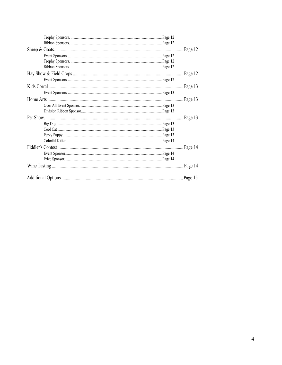|  | Page 12 |
|--|---------|
|  |         |
|  |         |
|  |         |
|  | Page 12 |
|  |         |
|  | Page 13 |
|  |         |
|  | Page 13 |
|  |         |
|  |         |
|  | Page 13 |
|  |         |
|  |         |
|  |         |
|  |         |
|  | Page 14 |
|  |         |
|  |         |
|  | Page 14 |
|  |         |
|  |         |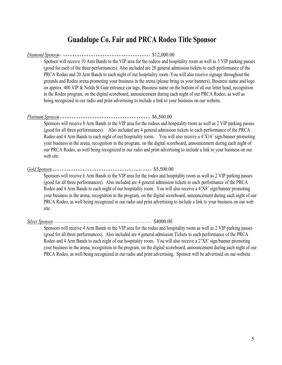#### **Guadalupe Co. Fair and PRCA Rodeo Title Sponsor**

#### *Diamond Sponsor* \$12,000.00

Sponsor will receive 10 Arm Bands to the VIP area for the rodeos and hospitality room as well as 5 VIP parking passes (good for each of the three performances). Also included are 20 general admission tickets to each performance of the PRCA Rodeo and 20 Arm Bands to each night of our hospitality room. You will also receive signage throughout the grounds and Rodeo arena promoting your business in the arena (please bring us your banners), Business name and logo on approx. 400 VIP & Nelda St Gate entrance car tags, Business name on the bottom of all our letter head, recognition in the Rodeo program, on the digital scoreboard, announcement during each night of our PRCA Rodeo, as well as being recognized in our radio and print advertising to include a link to your business on our website.

#### *Platinum Sponsor* \$6,500.00

Sponsors will receive 8 Arm Bands to the VIP area for the rodeos and hospitality room as well as 2 VIP parking passes (good for all three performances). Also included are 4 general admission tickets to each performance of the PRCA Rodeo and 4 Arm Bands to each night of our hospitality room. You will also receive a 4'X16' sign/banner promoting your business in the arena, recognition in the program, on the digital scoreboard, announcement during each night of our PRCA Rodeo, as well being recognized in our radio and print advertising to include a link to your business on our web site.

#### *Gold Sponsor* \$5,500.00

Sponsors will receive 6 Arm Bands to the VIP area for the rodeo and hospitality room as well as 2 VIP parking passes (good for all three performances). Also included are 4 general admission tickets to each performance of the PRCA Rodeo and 4 Arm Bands to each night of our hospitality room. You will also receive a 4'X8' sign/banner promoting your business in the arena, recognition in the program, on the digital scoreboard, announcement during each night of our PRCA Rodeo, as well being recognized in our radio and print advertising to include a link to your business on our web site.

#### *Silver Sponsor* \$4000.00

Sponsors will receive 4 Arm Bands to the VIP area for the rodeo and hospitality room as well as 2 VIP parking passes (good for all three performances). Also included are 4 general admission Tickets to each performance of the PRCA Rodeo and 4 Arm Bands to each night of our hospitality room. You will also receive a 2'X8' sign/banner promoting your business in the arena, recognition in the program, on the digital scoreboard, announcement during each night of our PRCA Rodeo, as well being recognized in our radio and print advertising. Sponsor will be advertised on our website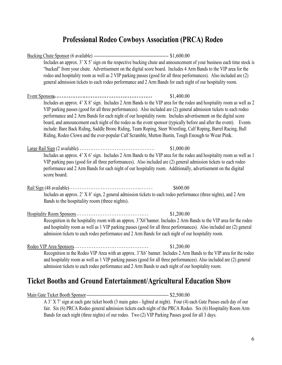#### **Professional Rodeo Cowboys Association (PRCA) Rodeo**

|                                                                                                     | Includes an approx. 3' X 5' sign on the respective bucking chute and announcement of your business each time stock is<br>"bucked" from your chute. Advertisement on the digital score board. Includes 4 Arm Bands to the VIP area for the                                                                                                                                                                                                                                                                                                                                                                                                                                                                      |
|-----------------------------------------------------------------------------------------------------|----------------------------------------------------------------------------------------------------------------------------------------------------------------------------------------------------------------------------------------------------------------------------------------------------------------------------------------------------------------------------------------------------------------------------------------------------------------------------------------------------------------------------------------------------------------------------------------------------------------------------------------------------------------------------------------------------------------|
|                                                                                                     | rodeo and hospitality room as well as 2 VIP parking passes (good for all three performances). Also included are (2)                                                                                                                                                                                                                                                                                                                                                                                                                                                                                                                                                                                            |
|                                                                                                     | general admission tickets to each rodeo performance and 2 Arm Bands for each night of our hospitality room.                                                                                                                                                                                                                                                                                                                                                                                                                                                                                                                                                                                                    |
|                                                                                                     | \$1,400.00                                                                                                                                                                                                                                                                                                                                                                                                                                                                                                                                                                                                                                                                                                     |
|                                                                                                     | Includes an approx. 4' X 8' sign. Includes 2 Arm Bands to the VIP area for the rodeo and hospitality room as well as 2<br>VIP parking passes (good for all three performances). Also included are (2) general admission tickets to each rodeo<br>performance and 2 Arm Bands for each night of our hospitality room. Includes advertisement on the digital score<br>board, and announcement each night of the rodeo as the event sponsor (typically before and after the event). Events<br>include: Bare Back Riding, Saddle Bronc Riding, Team Roping, Steer Wrestling, Calf Roping, Barrel Racing, Bull<br>Riding, Rodeo Clown and the ever-popular Calf Scramble, Mutton Bustin, Tough Enough to Wear Pink. |
| <u>Large Rail Sign</u> (2 available) -----------------------------------                            | \$1,000.00                                                                                                                                                                                                                                                                                                                                                                                                                                                                                                                                                                                                                                                                                                     |
| score board.                                                                                        | Includes an approx. 4' X 6' sign. Includes 2 Arm Bands to the VIP area for the rodeo and hospitality room as well as 1<br>VIP parking pass (good for all three performances). Also included are (2) general admission tickets to each rodeo<br>performance and 2 Arm Bands for each night of our hospitality room. Additionally, advertisement on the digital                                                                                                                                                                                                                                                                                                                                                  |
|                                                                                                     | \$600.00                                                                                                                                                                                                                                                                                                                                                                                                                                                                                                                                                                                                                                                                                                       |
| Bands to the hospitality room (three nights).                                                       | Includes an approx. 2' X 8' sign, 2 general admission tickets to each rodeo performance (three nights), and 2 Arm                                                                                                                                                                                                                                                                                                                                                                                                                                                                                                                                                                                              |
| Hospitality Room Sponsors --------------------------------                                          | \$1,200.00                                                                                                                                                                                                                                                                                                                                                                                                                                                                                                                                                                                                                                                                                                     |
| admission tickets to each rodeo performance and 2 Arm Bands for each night of our hospitality room. | Recognition in the hospitality room with an approx. 3'X6'banner. Includes 2 Arm Bands to the VIP area for the rodeo<br>and hospitality room as well as 1 VIP parking passes (good for all three performances). Also included are (2) general                                                                                                                                                                                                                                                                                                                                                                                                                                                                   |
| Rodeo VIP Area Sponsors ---------------------------------                                           | \$1,200.00                                                                                                                                                                                                                                                                                                                                                                                                                                                                                                                                                                                                                                                                                                     |
| admission tickets to each rodeo performance and 2 Arm Bands to each night of our hospitality room.  | Recognition in the Rodeo VIP Area with an approx. 3'X6' banner. Includes 2 Arm Bands to the VIP area for the rodeo<br>and hospitality room as well as 1 VIP parking passes (good for all three performances). Also included are (2) general                                                                                                                                                                                                                                                                                                                                                                                                                                                                    |
| Ticket Booths and Ground Entertainment/Agricultural Education Show                                  |                                                                                                                                                                                                                                                                                                                                                                                                                                                                                                                                                                                                                                                                                                                |
|                                                                                                     |                                                                                                                                                                                                                                                                                                                                                                                                                                                                                                                                                                                                                                                                                                                |
|                                                                                                     |                                                                                                                                                                                                                                                                                                                                                                                                                                                                                                                                                                                                                                                                                                                |

A 3' X 7' sign at each gate ticket booth (3 main gates - lighted at night). Four (4) each Gate Passes each day of our

fair. Six (6) PRCA Rodeo general admission tickets each night of the PRCA Rodeo. Six (6) Hospitality Room Arm Bands for each night (three nights) of our rodeo. Two (2) VIP Parking Passes good for all 3 days.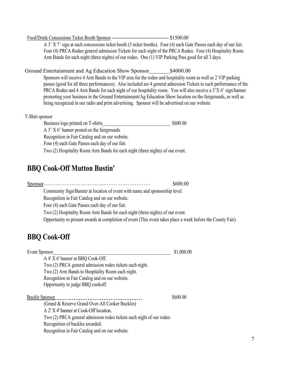#### Food/Drink Concessions Ticket Booth Sponsor -------------------------------------- \$1500.00

A 3' X 7' sign at each concessions ticket booth (3 ticket booths). Four (4) each Gate Passes each day of our fair. Four (4) PRCA Rodeo general admission Tickets for each night of the PRCA Rodeo. Four (4) Hospitality Room Arm Bands for each night (three nights) of our rodeo. One (1) VIP Parking Pass good for all 3 days.

#### Ground Entertainment and Ag Education Show Sponsor<br>
\$4000.00

Sponsors will receive 4 Arm Bands to the VIP area for the rodeo and hospitality room as well as 2 VIP parking passes (good for all three performances). Also included are 4 general admission Tickets to each performance of the PRCA Rodeo and 4 Arm Bands for each night of our hospitality room. You will also receive a 3'X 6' sign/banner promoting your business in the Ground Entertainment/Ag Education Show location on the fairgrounds, as well as being recognized in our radio and print advertising. Sponsor will be advertised on our website

#### T-Shirt sponsor

Business logo printed on T-shirts \$600.00 A 3' X 6' banner posted on the fairgrounds Recognition in Fair Catalog and on our website. Four (4) each Gate Passes each day of our fair. Two (2) Hospitality Room Arm Bands for each night (three nights) of our event.

#### **BBQ Cook-Off Mutton Bustin'**

Sponsor \$600.00 Community Sign/Banner at location of event with name and sponsorship level.

Recognition in Fair Catalog and on our website.

Four (4) each Gate Passes each day of our fair.

Two (2) Hospitality Room Arm Bands for each night (three nights) of our event.

Opportunity to present awards at completion of event (This event takes place a week before the County Fair).

#### **BBQ Cook-Off**

| Event Sponsor                                                         | \$1,000.00 |
|-----------------------------------------------------------------------|------------|
| A 4' X 6' banner at BBQ Cook-Off.                                     |            |
| Two (2) PRCA general admission rodeo tickets each night.              |            |
| Two (2) Arm Bands to Hospitality Room each night.                     |            |
| Recognition in Fair Catalog and on our website.                       |            |
| Opportunity to judge BBQ cookoff.                                     |            |
| Buckle Sponsor                                                        | \$600.00   |
| (Grand & Reserve Grand Over-All Cooker Buckles)                       |            |
| A 2' X 4' banner at Cook-Off location.                                |            |
| Two (2) PRCA general admission rodeo tickets each night of our rodeo. |            |
| Recognition of buckles awarded.                                       |            |
| Recognition in Fair Catalog and on our website.                       |            |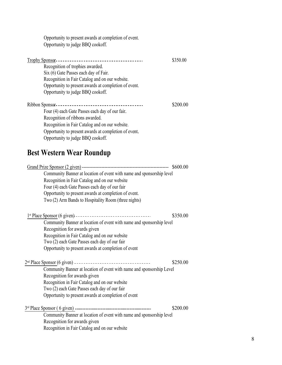Opportunity to present awards at completion of event. Opportunity to judge BBQ cookoff.

| Trophy Sponsor---<br>--------------------------------- | \$350.00 |
|--------------------------------------------------------|----------|
| Recognition of trophies awarded.                       |          |
| Six (6) Gate Passes each day of Fair.                  |          |
| Recognition in Fair Catalog and on our website.        |          |
| Opportunity to present awards at completion of event.  |          |
| Opportunity to judge BBQ cookoff.                      |          |
|                                                        | \$200.00 |
| Four (4) each Gate Passes each day of our fair.        |          |
| Recognition of ribbons awarded.                        |          |
| Recognition in Fair Catalog and on our website.        |          |
| Opportunity to present awards at completion of event.  |          |
| Opportunity to judge BBQ cookoff.                      |          |

## **Best Western Wear Roundup**

| Community Banner at location of event with name and sponsorship level       |          |
|-----------------------------------------------------------------------------|----------|
| Recognition in Fair Catalog and on our website                              |          |
| Four (4) each Gate Passes each day of our fair                              |          |
| Opportunity to present awards at completion of event.                       |          |
| Two (2) Arm Bands to Hospitality Room (three nights)                        |          |
|                                                                             | \$350.00 |
| Community Banner at location of event with name and sponsorship level       |          |
| Recognition for awards given                                                |          |
| Recognition in Fair Catalog and on our website                              |          |
| Two (2) each Gate Passes each day of our fair                               |          |
| Opportunity to present awards at completion of event                        |          |
| 2 <sup>nd</sup> Place Sponsor (6 given) ----------------------------------- | \$250.00 |
| Community Banner at location of event with name and sponsorship Level       |          |
| Recognition for awards given                                                |          |
| Recognition in Fair Catalog and on our website                              |          |
| Two (2) each Gate Passes each day of our fair                               |          |
| Opportunity to present awards at completion of event                        |          |
|                                                                             | \$200.00 |
|                                                                             |          |
| Community Banner at location of event with name and sponsorship level       |          |
| Recognition for awards given                                                |          |
| Recognition in Fair Catalog and on our website                              |          |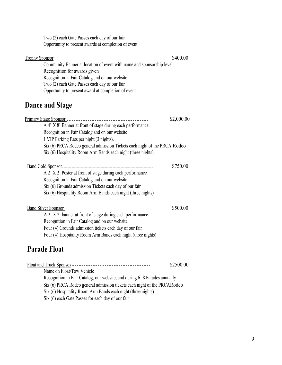Two (2) each Gate Passes each day of our fair Opportunity to present awards at completion of event

| Trophy Sponsor $---$<br>______________________________________        | \$400.00 |
|-----------------------------------------------------------------------|----------|
| Community Banner at location of event with name and sponsorship level |          |
| Recognition for awards given                                          |          |
| Recognition in Fair Catalog and on our website                        |          |
| Two (2) each Gate Passes each day of our fair                         |          |
| Opportunity to present award at completion of event                   |          |

## **Dance and Stage**

|                                                                           | \$2,000.00 |
|---------------------------------------------------------------------------|------------|
| A 4' X 8' Banner at front of stage during each performance                |            |
| Recognition in Fair Catalog and on our website                            |            |
| 1 VIP Parking Pass per night (3 nights).                                  |            |
| Six (6) PRCA Rodeo general admission Tickets each night of the PRCA Rodeo |            |
| Six (6) Hospitality Room Arm Bands each night (three nights)              |            |
|                                                                           |            |
|                                                                           | \$750.00   |
| A 2' X 2' Poster at front of stage during each performance                |            |
| Recognition in Fair Catalog and on our website                            |            |
| Six (6) Grounds admission Tickets each day of our fair                    |            |
| Six (6) Hospitality Room Arm Bands each night (three nights)              |            |
|                                                                           |            |
|                                                                           | \$500.00   |
| A 2' X 2' banner at front of stage during each performance                |            |
| Recognition in Fair Catalog and on our website                            |            |
| Four (4) Grounds admission tickets each day of our fair                   |            |
| Four (4) Hospitality Room Arm Bands each night (three nights)             |            |
|                                                                           |            |

#### **Parade Float**

|                                                                            | \$2500.00 |
|----------------------------------------------------------------------------|-----------|
| Name on Float/Tow Vehicle                                                  |           |
| Recognition in Fair Catalog, our website, and during 6 -8 Parades annually |           |
| Six (6) PRCA Rodeo general admission tickets each night of the PRCA Rodeo  |           |
| Six (6) Hospitality Room Arm Bands each night (three nights)               |           |
| Six (6) each Gate Passes for each day of our fair                          |           |
|                                                                            |           |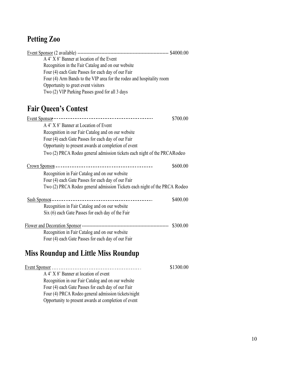## **Petting Zoo**

| A 4' X 8' Banner at location of the Event                             |  |
|-----------------------------------------------------------------------|--|
| Recognition in the Fair Catalog and on our website                    |  |
| Four (4) each Gate Passes for each day of our Fair                    |  |
| Four (4) Arm Bands to the VIP area for the rodeo and hospitality room |  |
| Opportunity to greet event visitors                                   |  |
| Two (2) VIP Parking Passes good for all 3 days                        |  |
|                                                                       |  |

## **Fair Queen's Contest**

|                                                                           | \$700.00 |
|---------------------------------------------------------------------------|----------|
| A 4' X 8' Banner at Location of Event                                     |          |
| Recognition in our Fair Catalog and on our website                        |          |
| Four (4) each Gate Passes for each day of our Fair                        |          |
| Opportunity to present awards at completion of event                      |          |
| Two (2) PRCA Rodeo general admission tickets each night of the PRCARodeo  |          |
|                                                                           | \$600.00 |
| Recognition in Fair Catalog and on our website                            |          |
| Four (4) each Gate Passes for each day of our Fair                        |          |
| Two (2) PRCA Rodeo general admission Tickets each night of the PRCA Rodeo |          |
|                                                                           | \$400.00 |
| Recognition in Fair Catalog and on our website                            |          |
| Six (6) each Gate Passes for each day of the Fair                         |          |
|                                                                           | \$300.00 |
| Recognition in Fair Catalog and on our website                            |          |
| Four (4) each Gate Passes for each day of our Fair                        |          |

## **Miss Roundup and Little Miss Roundup**

|                                                      | \$1300.00 |
|------------------------------------------------------|-----------|
| A 4' X 8' Banner at location of event                |           |
| Recognition in our Fair Catalog and on our website   |           |
| Four (4) each Gate Passes for each day of our Fair   |           |
| Four (4) PRCA Rodeo general admission tickets/night  |           |
| Opportunity to present awards at completion of event |           |
|                                                      |           |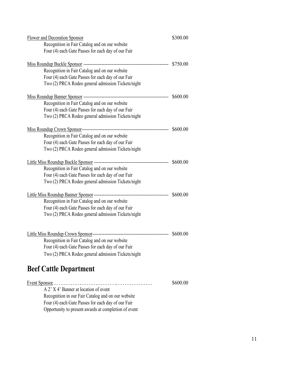| <b>Flower and Decoration Sponsor</b>               | \$300.00 |
|----------------------------------------------------|----------|
| Recognition in Fair Catalog and on our website     |          |
| Four (4) each Gate Passes for each day of our Fair |          |
|                                                    | \$750.00 |
| Recognition in Fair Catalog and on our website     |          |
| Four (4) each Gate Passes for each day of our Fair |          |
| Two (2) PRCA Rodeo general admission Tickets/night |          |
|                                                    | \$600.00 |
| Recognition in Fair Catalog and on our website     |          |
| Four (4) each Gate Passes for each day of our Fair |          |
| Two (2) PRCA Rodeo general admission Tickets/night |          |
|                                                    | \$600.00 |
| Recognition in Fair Catalog and on our website     |          |
| Four (4) each Gate Passes for each day of our Fair |          |
| Two (2) PRCA Rodeo general admission Tickets/night |          |
|                                                    | \$600.00 |
| Recognition in Fair Catalog and on our website     |          |
| Four (4) each Gate Passes for each day of our Fair |          |
| Two (2) PRCA Rodeo general admission Tickets/night |          |
|                                                    |          |
| Recognition in Fair Catalog and on our website     |          |
| Four (4) each Gate Passes for each day of our Fair |          |
| Two (2) PRCA Rodeo general admission Tickets/night |          |
|                                                    |          |
|                                                    | \$600.00 |
| Recognition in Fair Catalog and on our website     |          |
| Four (4) each Gate Passes for each day of our Fair |          |
| Two (2) PRCA Rodeo general admission Tickets/night |          |
| <b>Beef Cattle Department</b>                      |          |
|                                                    | \$600.00 |
|                                                    |          |

A 2' X 4' Banner at location of event Recognition in our Fair Catalog and on our website Four (4) each Gate Passes for each day of our Fair Opportunity to present awards at completion of event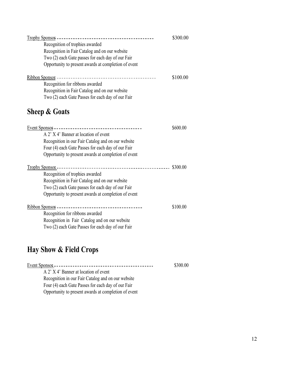|                                                      | \$300.00 |
|------------------------------------------------------|----------|
| Recognition of trophies awarded                      |          |
| Recognition in Fair Catalog and on our website       |          |
| Two (2) each Gate passes for each day of our Fair    |          |
| Opportunity to present awards at completion of event |          |
|                                                      | \$100.00 |
| Recognition for ribbons awarded                      |          |
| Recognition in Fair Catalog and on our website       |          |
| Two (2) each Gate Passes for each day of our Fair    |          |

## **Sheep & Goats**

|                                                      | \$600.00 |
|------------------------------------------------------|----------|
| A 2' X 4' Banner at location of event                |          |
| Recognition in our Fair Catalog and on our website   |          |
| Four (4) each Gate Passes for each day of our Fair   |          |
| Opportunity to present awards at completion of event |          |
|                                                      | \$300.00 |
| Recognition of trophies awarded                      |          |
| Recognition in Fair Catalog and on our website       |          |
| Two (2) each Gate passes for each day of our Fair    |          |
| Opportunity to present awards at completion of event |          |
|                                                      | \$100.00 |
| Recognition for ribbons awarded                      |          |
| Recognition in Fair Catalog and on our website       |          |
| Two (2) each Gate Passes for each day of our Fair    |          |

## **Hay Show & Field Crops**

| <u>Event Sponsor</u> ----<br>_________________       | \$300.00 |
|------------------------------------------------------|----------|
| A 2' X 4' Banner at location of event                |          |
| Recognition in our Fair Catalog and on our website   |          |
| Four (4) each Gate Passes for each day of our Fair   |          |
| Opportunity to present awards at completion of event |          |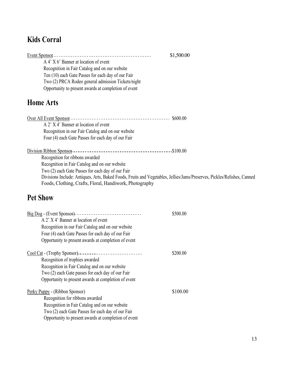## **Kids Corral**

|                                                      | \$1,500.00 |
|------------------------------------------------------|------------|
| A 4' X 6' Banner at location of event                |            |
| Recognition in Fair Catalog and on our website       |            |
| Ten (10) each Gate Passes for each day of our Fair   |            |
| Two (2) PRCA Rodeo general admission Tickets/night   |            |
| Opportunity to present awards at completion of event |            |

#### **Home Arts**

| A 2' X 4' Banner at location of event                                                                                   |             |
|-------------------------------------------------------------------------------------------------------------------------|-------------|
| Recognition in our Fair Catalog and on our website                                                                      |             |
| Four (4) each Gate Passes for each day of our Fair                                                                      |             |
|                                                                                                                         | $-.$100.00$ |
| Recognition for ribbons awarded                                                                                         |             |
| Recognition in Fair Catalog and on our website                                                                          |             |
| Two (2) each Gate Passes for each day of our Fair                                                                       |             |
| Divisions Include: Antiques, Arts, Baked Foods, Fruits and Vegetables, Jellies/Jams/Preserves, Pickles/Relishes, Canned |             |
| Foods, Clothing, Crafts, Floral, Handiwork, Photography                                                                 |             |

#### **Pet Show**

| Big Dog - (Event Sponsor) ------------------------------- | \$500.00 |
|-----------------------------------------------------------|----------|
| A 2' X 4' Banner at location of event                     |          |
| Recognition in our Fair Catalog and on our website        |          |
| Four (4) each Gate Passes for each day of our Fair        |          |
| Opportunity to present awards at completion of event      |          |
| Cool Cat - (Trophy Sponsor) ---------------------------   | \$200.00 |
| Recognition of trophies awarded                           |          |
| Recognition in Fair Catalog and on our website            |          |
| Two (2) each Gate passes for each day of our Fair         |          |
| Opportunity to present awards at completion of event      |          |
| Perky Puppy - (Ribbon Sponsor)                            | \$100.00 |
| Recognition for ribbons awarded                           |          |
| Recognition in Fair Catalog and on our website            |          |
| Two (2) each Gate Passes for each day of our Fair         |          |
| Opportunity to present awards at completion of event      |          |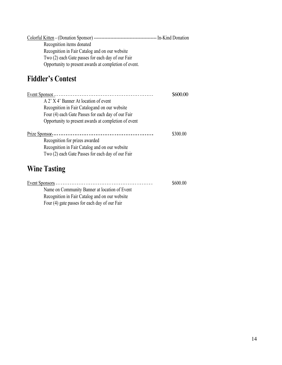| Recognition items donated                             |  |
|-------------------------------------------------------|--|
| Recognition in Fair Catalog and on our website        |  |
| Two (2) each Gate passes for each day of our Fair     |  |
| Opportunity to present awards at completion of event. |  |

### **Fiddler's Contest**

| A 2' X 4' Banner At location of event                |          |
|------------------------------------------------------|----------|
| Recognition in Fair Catalogand on our website        |          |
| Four (4) each Gate Passes for each day of our Fair   |          |
| Opportunity to present awards at completion of event |          |
|                                                      |          |
| Prize Sponsor-<br>---------------------------------- | \$300.00 |
| Recognition for prizes awarded                       |          |
| Recognition in Fair Catalog and on our website       |          |
| Two (2) each Gate Passes for each day of our Fair    |          |
| <b>Wine Tasting</b>                                  |          |

|                                                | \$600.00 |
|------------------------------------------------|----------|
| Name on Community Banner at location of Event  |          |
| Recognition in Fair Catalog and on our website |          |

Four (4) gate passes for each day of our Fair